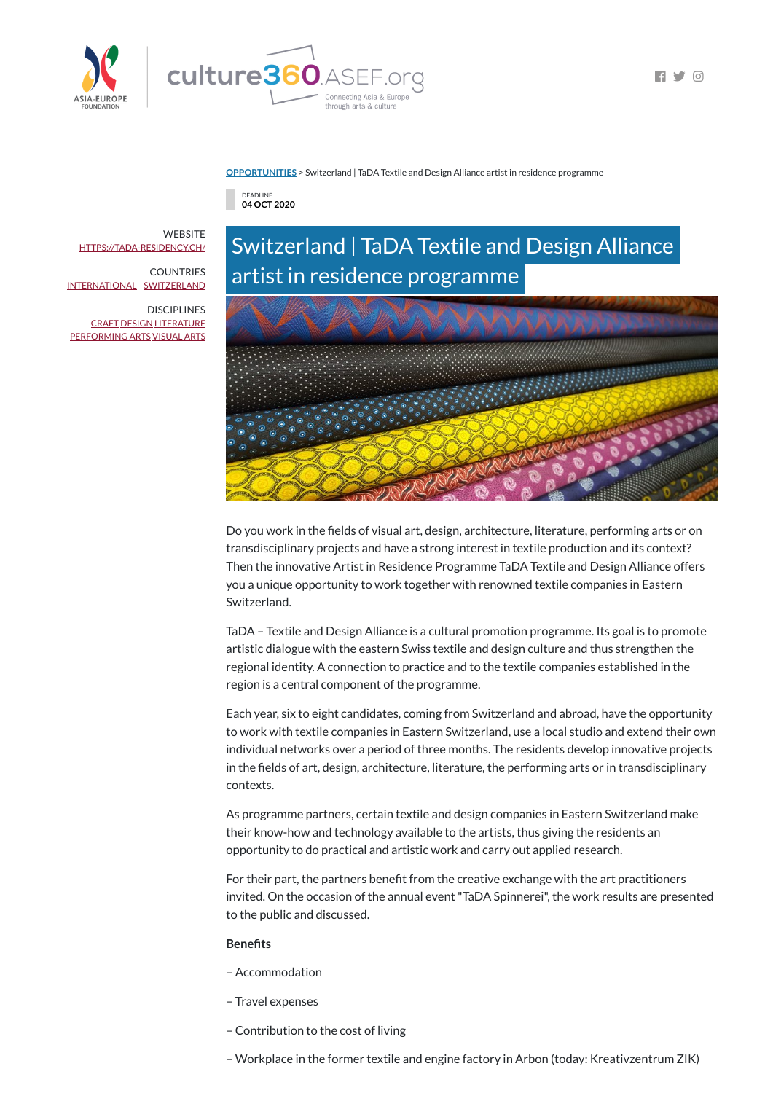

 $\blacksquare$   $\blacksquare$   $\blacksquare$   $\blacksquare$   $\blacksquare$   $\blacksquare$   $\blacksquare$   $\blacksquare$   $\blacksquare$   $\blacksquare$   $\blacksquare$   $\blacksquare$   $\blacksquare$   $\blacksquare$   $\blacksquare$   $\blacksquare$   $\blacksquare$   $\blacksquare$   $\blacksquare$   $\blacksquare$   $\blacksquare$   $\blacksquare$   $\blacksquare$   $\blacksquare$   $\blacksquare$   $\blacksquare$   $\blacksquare$   $\blacksquare$   $\blacksquare$   $\blacksquare$   $\blacksquare$   $\blacks$ 

### **[OPPORTUNITIES](https://culture360.asef.org/opportunities/)** > Switzerland | TaDA Textile and Design Alliance artist in residence programme

DEADLINE **04 OCT 2020**

# Switzerland | TaDA Textile and Design Alliance artist in residence programme



Do you work in the fields of visual art, design, architecture, literature, performing arts or on transdisciplinary projects and have a strong interest in textile production and its context? Then the innovative Artist in Residence Programme TaDA Textile and Design Alliance offers you a unique opportunity to work together with renowned textile companies in Eastern Switzerland.

TaDA – Textile and Design Alliance is a cultural promotion programme. Its goal is to promote artistic dialogue with the eastern Swiss textile and design culture and thus strengthen the regional identity. A connection to practice and to the textile companies established in the region is a central component of the programme.

For their part, the partners benefit from the creative exchange with the art practitioners invited. On the occasion of the annual event "TaDA Spinnerei", the work results are presented to the public and discussed.

### **Benefits**

**WEBSITE** [HTTPS://TADA-RESIDENCY.CH/](https://tada-residency.ch/)

**DISCIPLINES** [CRAFT](https://culture360.asef.org/disciplines/craft/) [DESIGN](https://culture360.asef.org/disciplines/design/) [LITERATURE](https://culture360.asef.org/disciplines/literature/) [PERFORMING](https://culture360.asef.org/disciplines/performing-arts/) ARTS [VISUAL](https://culture360.asef.org/disciplines/visual-arts/) ARTS

> Each year, six to eight candidates, coming from Switzerland and abroad, have the opportunity to work with textile companies in Eastern Switzerland, use a local studio and extend their own individual networks over a period of three months. The residents develop innovative projects in the fields of art, design, architecture, literature, the performing arts or in transdisciplinary contexts.

As programme partners, certain textile and design companies in Eastern Switzerland make

their know-how and technology available to the artists, thus giving the residents an opportunity to do practical and artistic work and carry out applied research.

- Accommodation
- Travel expenses
- Contribution to the cost of living

– Workplace in the former textile and engine factory in Arbon (today: Kreativzentrum ZIK)

COUNTRIES [INTERNATIONAL](https://culture360.asef.org/countries/international/) [SWITZERLAND](https://culture360.asef.org/countries/switzerland/)